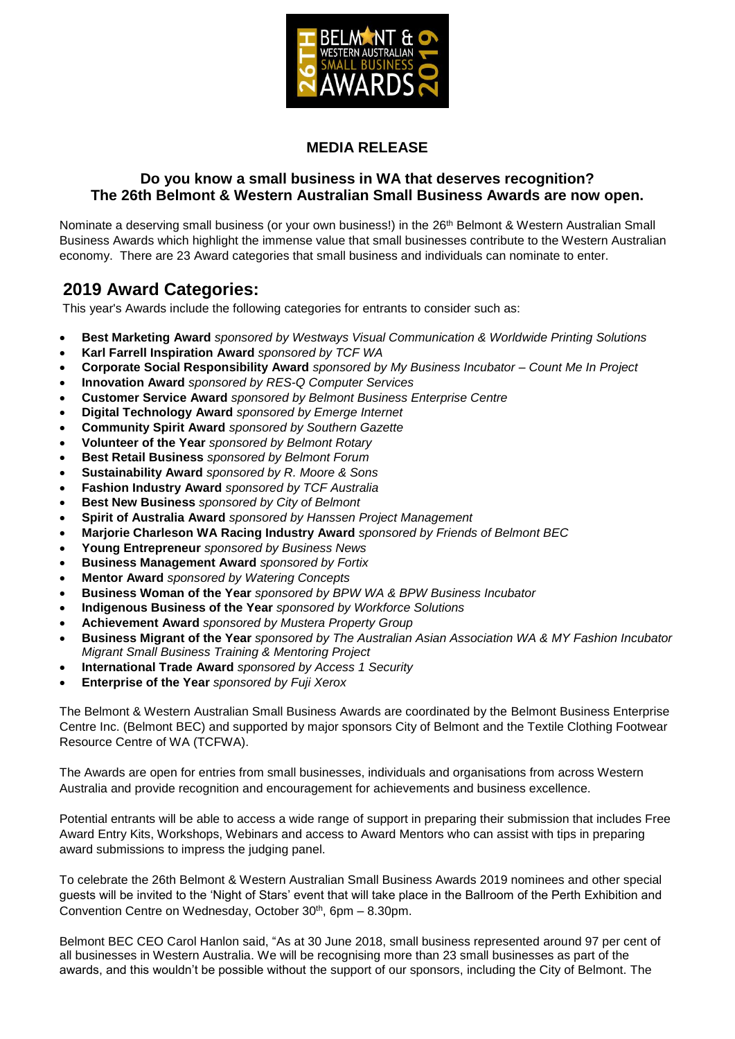

## **MEDIA RELEASE**

### **Do you know a small business in WA that deserves recognition? The 26th Belmont & Western Australian Small Business Awards are now open.**

Nominate a deserving small business (or your own business!) in the 26<sup>th</sup> Belmont & Western Australian Small Business Awards which highlight the immense value that small businesses contribute to the Western Australian economy. There are 23 Award categories that small business and individuals can nominate to enter.

## **2019 Award Categories:**

This year's Awards include the following categories for entrants to consider such as:

- **Best Marketing Award** *sponsored by Westways Visual Communication & Worldwide Printing Solutions*
- **Karl Farrell Inspiration Award** *sponsored by TCF WA*
- **Corporate Social Responsibility Award** *sponsored by My Business Incubator – Count Me In Project*
- **Innovation Award** *sponsored by RES-Q Computer Services*
- **Customer Service Award** *sponsored by Belmont Business Enterprise Centre*
- **Digital Technology Award** *sponsored by Emerge Internet*
- **Community Spirit Award** *sponsored by Southern Gazette*
- **Volunteer of the Year** *sponsored by Belmont Rotary*
- **Best Retail Business** *sponsored by Belmont Forum*
- **Sustainability Award** *sponsored by R. Moore & Sons*
- **Fashion Industry Award** *sponsored by TCF Australia*
- **Best New Business** *sponsored by City of Belmont*
- **Spirit of Australia Award** *sponsored by Hanssen Project Management*
- **Marjorie Charleson WA Racing Industry Award** *sponsored by Friends of Belmont BEC*
- **Young Entrepreneur** *sponsored by Business News*
- **Business Management Award** *sponsored by Fortix*
- **Mentor Award** *sponsored by Watering Concepts*
- **Business Woman of the Year** *sponsored by BPW WA & BPW Business Incubator*
- **Indigenous Business of the Year** *sponsored by Workforce Solutions*
- **Achievement Award** *sponsored by Mustera Property Group*
- **Business Migrant of the Year** *sponsored by The Australian Asian Association WA & MY Fashion Incubator Migrant Small Business Training & Mentoring Project*
- **International Trade Award** *sponsored by Access 1 Security*
- **Enterprise of the Year** *sponsored by Fuji Xerox*

The Belmont & Western Australian Small Business Awards are coordinated by the Belmont Business Enterprise Centre Inc. (Belmont BEC) and supported by major sponsors City of Belmont and the Textile Clothing Footwear Resource Centre of WA (TCFWA).

The Awards are open for entries from small businesses, individuals and organisations from across Western Australia and provide recognition and encouragement for achievements and business excellence.

Potential entrants will be able to access a wide range of support in preparing their submission that includes Free Award Entry Kits, Workshops, Webinars and access to Award Mentors who can assist with tips in preparing award submissions to impress the judging panel.

To celebrate the 26th Belmont & Western Australian Small Business Awards 2019 nominees and other special guests will be invited to the 'Night of Stars' event that will take place in the Ballroom of the Perth Exhibition and Convention Centre on Wednesday, October 30<sup>th</sup>, 6pm - 8.30pm.

Belmont BEC CEO Carol Hanlon said, "As at 30 June 2018, small business represented around 97 per cent of all businesses in Western Australia. We will be recognising more than 23 small businesses as part of the awards, and this wouldn't be possible without the support of our sponsors, including the City of Belmont. The